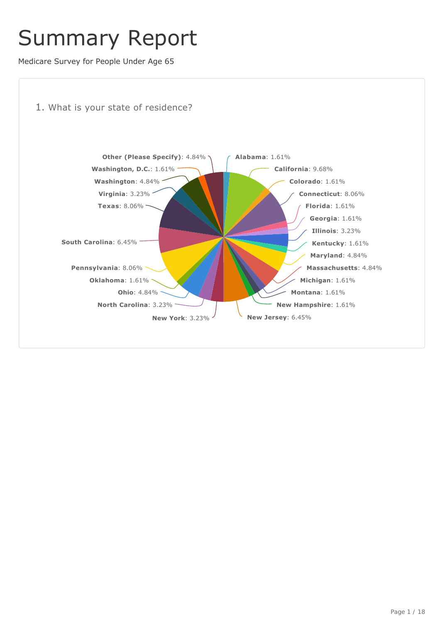## Summary Report

Medicare Survey for People Under Age 65



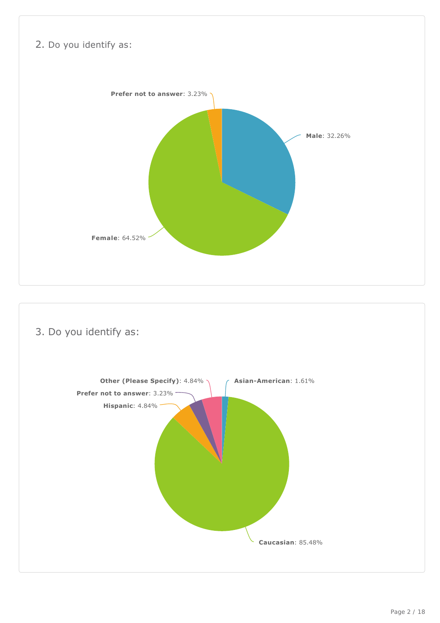

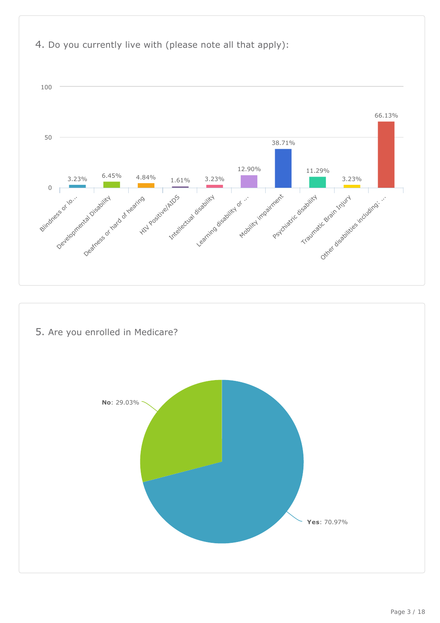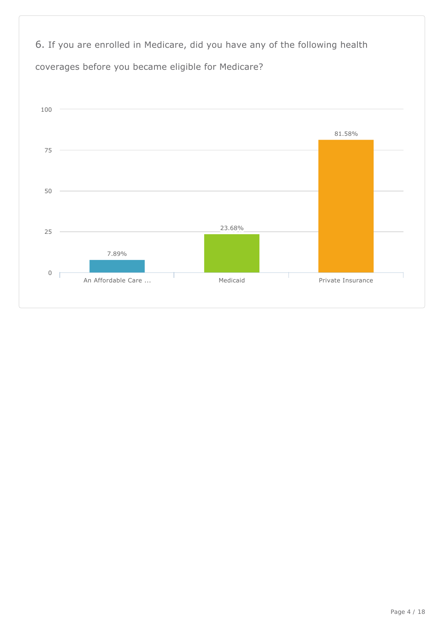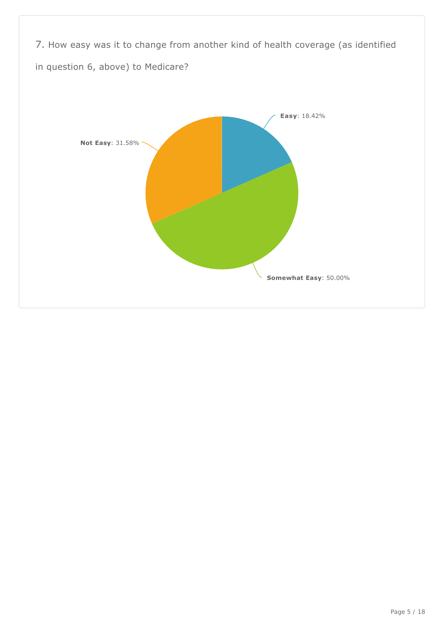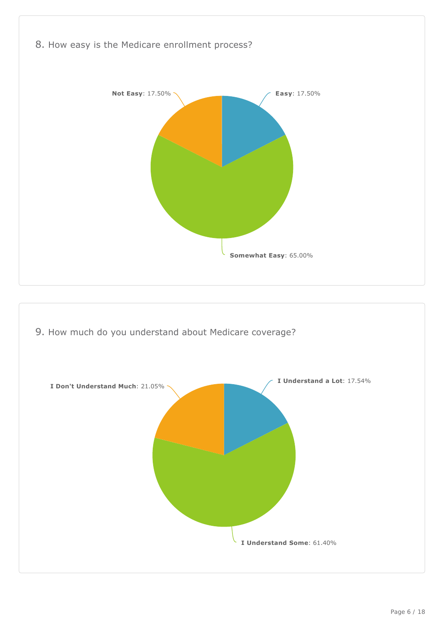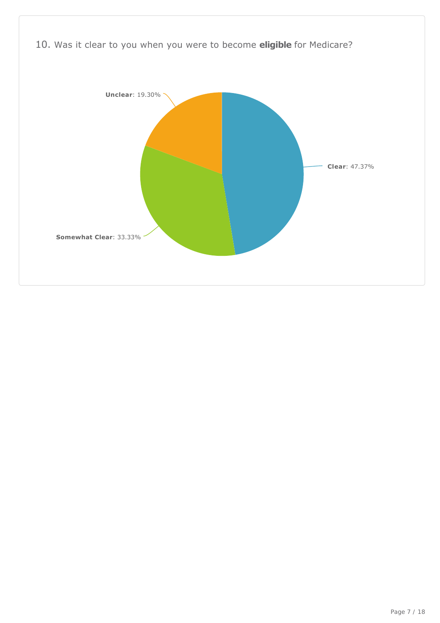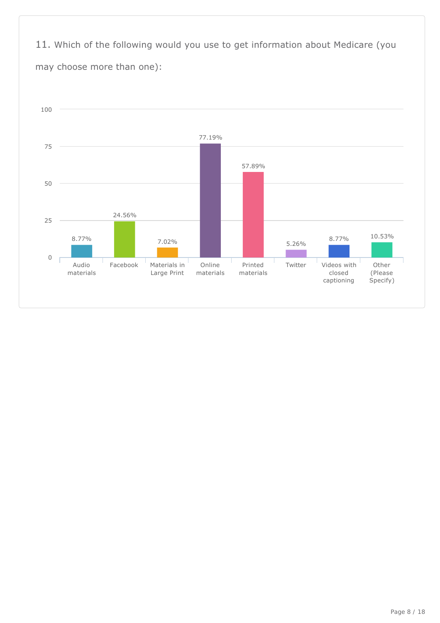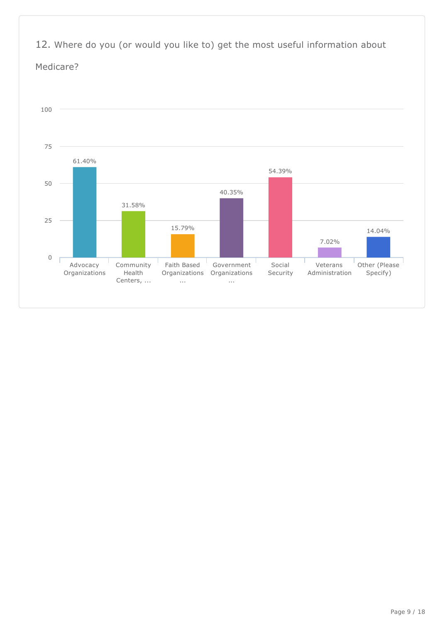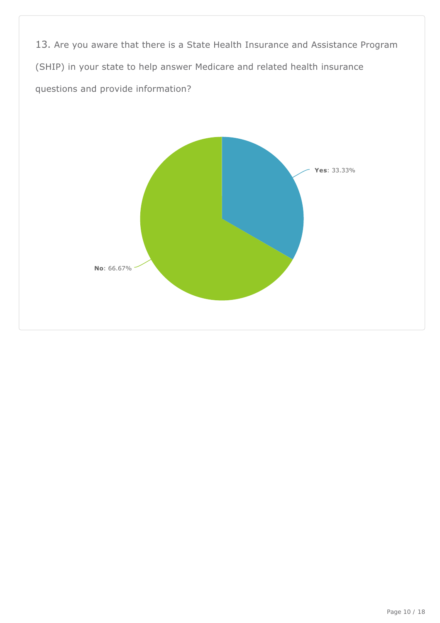13. Are you aware that there is a State Health Insurance and Assistance Program (SHIP) in your state to help answer Medicare and related health insurance questions and provide information?

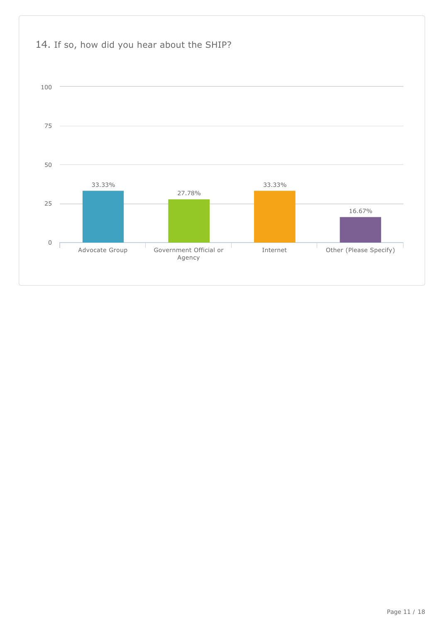

## Page 11 / 18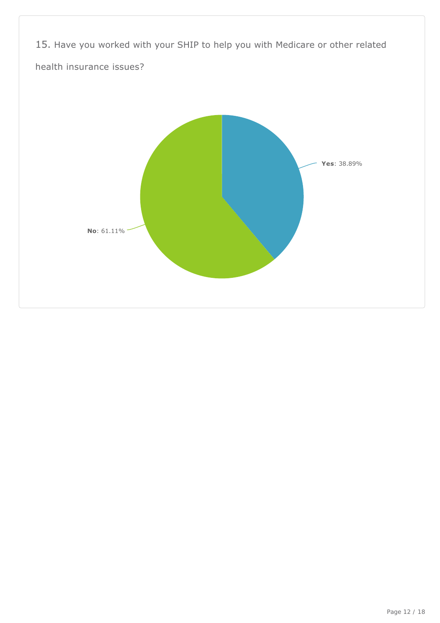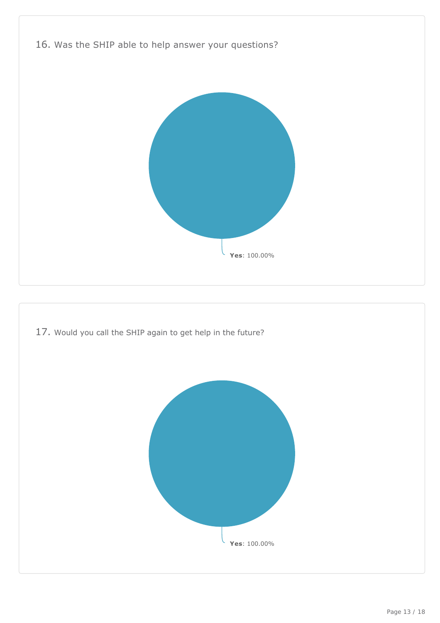



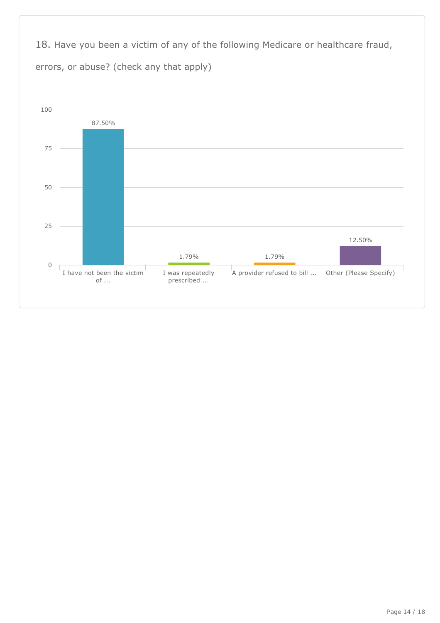18. Have you been a victim of any of the following Medicare or healthcare fraud, errors, or abuse? (check any that apply)

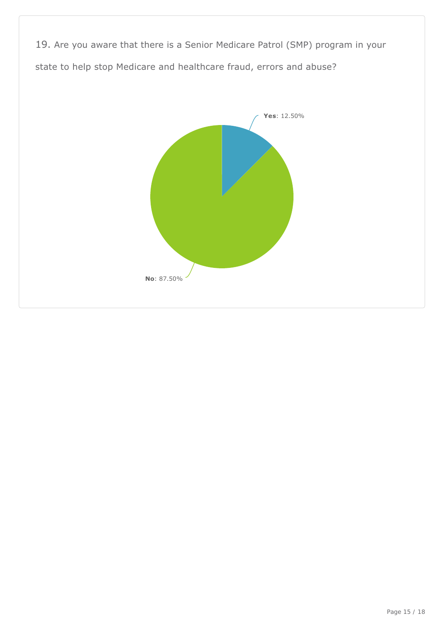19. Are you aware that there is a Senior Medicare Patrol (SMP) program in your state to help stop Medicare and healthcare fraud, errors and abuse?

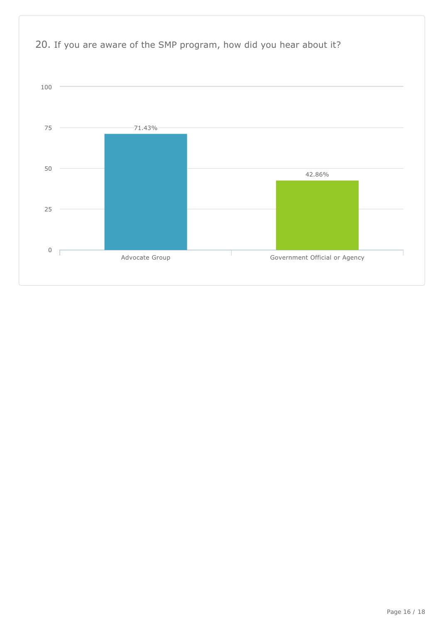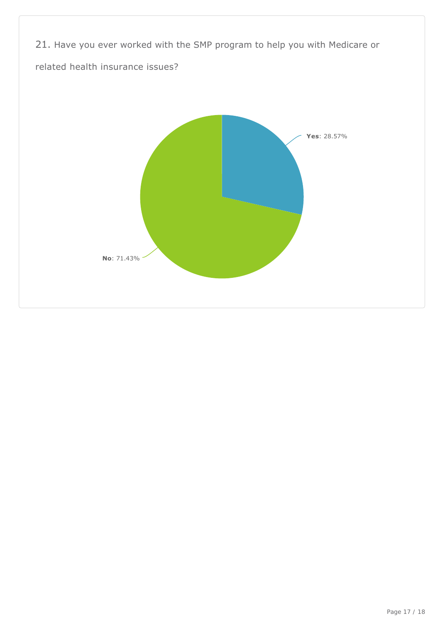